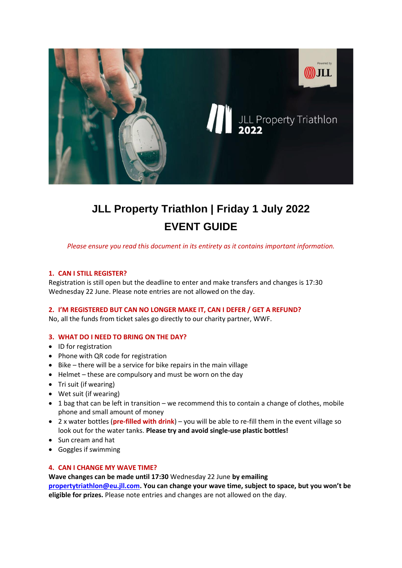

# **JLL Property Triathlon | Friday 1 July 2022 EVENT GUIDE**

*Please ensure you read this document in its entirety as it contains important information.*

# **1. CAN I STILL REGISTER?**

Registration is still open but the deadline to enter and make transfers and changes is 17:30 Wednesday 22 June. Please note entries are not allowed on the day.

# **2. I'M REGISTERED BUT CAN NO LONGER MAKE IT, CAN I DEFER / GET A REFUND?**

No, all the funds from ticket sales go directly to our charity partner, WWF.

# **3. WHAT DO I NEED TO BRING ON THE DAY?**

- ID for registration
- Phone with QR code for registration
- Bike there will be a service for bike repairs in the main village
- Helmet these are compulsory and must be worn on the day
- Tri suit (if wearing)
- Wet suit (if wearing)
- 1 bag that can be left in transition we recommend this to contain a change of clothes, mobile phone and small amount of money
- 2 x water bottles (**pre-filled with drink**) you will be able to re-fill them in the event village so look out for the water tanks. **Please try and avoid single-use plastic bottles!**
- Sun cream and hat
- Goggles if swimming

# **4. CAN I CHANGE MY WAVE TIME?**

**Wave changes can be made until 17:30** Wednesday 22 June **by emailing [propertytriathlon@eu.jll.com.](mailto:propertytriathlon@eu.jll.com) You can change your wave time, subject to space, but you won't be eligible for prizes.** Please note entries and changes are not allowed on the day.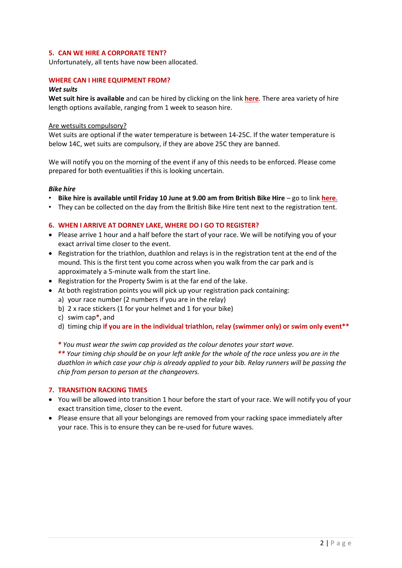# **5. CAN WE HIRE A CORPORATE TENT?**

Unfortunately, all tents have now been allocated.

# **WHERE CAN I HIRE EQUIPMENT FROM?**

#### *Wet suits*

**Wet suit hire is available** and can be hired by clicking on the link **[here](https://www.propertytriathlon.com/event-information/)**. There area variety of hire length options available, ranging from 1 week to season hire.

#### Are wetsuits compulsory?

Wet suits are optional if the water temperature is between 14-25C. If the water temperature is below 14C, wet suits are compulsory, if they are above 25C they are banned.

We will notify you on the morning of the event if any of this needs to be enforced. Please come prepared for both eventualities if this is looking uncertain.

#### *Bike hire*

- **Bike hire is available until Friday 10 June at 9.00 am from British Bike Hire** go to link **[here](https://netcreaterdb-co-uk.stackstaging.com/Client/bbh/event-bike-hire/jll-property-triathlon/)**.
- They can be collected on the day from the British Bike Hire tent next to the registration tent.

#### **6. WHEN I ARRIVE AT DORNEY LAKE, WHERE DO I GO TO REGISTER?**

- Please arrive 1 hour and a half before the start of your race. We will be notifying you of your exact arrival time closer to the event.
- Registration for the triathlon, duathlon and relays is in the registration tent at the end of the mound. This is the first tent you come across when you walk from the car park and is approximately a 5-minute walk from the start line.
- Registration for the Property Swim is at the far end of the lake.
- At both registration points you will pick up your registration pack containing:
	- a) your race number (2 numbers if you are in the relay)
	- b) 2 x race stickers (1 for your helmet and 1 for your bike)
	- c) swim cap**\***, and
	- d) timing chip **if you are in the individual triathlon, relay (swimmer only) or swim only event\*\***
	- *\* You must wear the swim cap provided as the colour denotes your start wave.*

*\*\* Your timing chip should be on your left ankle for the whole of the race unless you are in the duathlon in which case your chip is already applied to your bib. Relay runners will be passing the chip from person to person at the changeovers.*

#### **7. TRANSITION RACKING TIMES**

- You will be allowed into transition 1 hour before the start of your race. We will notify you of your exact transition time, closer to the event.
- Please ensure that all your belongings are removed from your racking space immediately after your race. This is to ensure they can be re-used for future waves.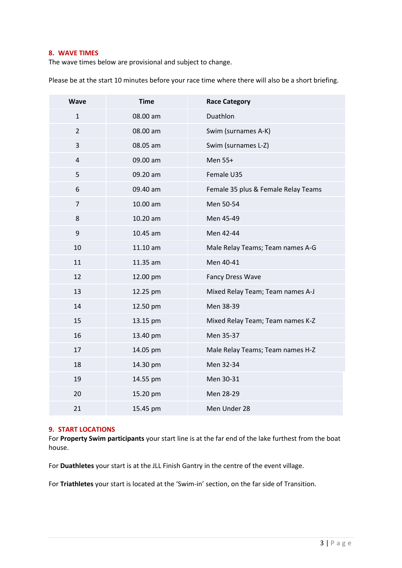#### **8. WAVE TIMES**

The wave times below are provisional and subject to change.

Please be at the start 10 minutes before your race time where there will also be a short briefing.

| <b>Wave</b>    | <b>Time</b> | <b>Race Category</b>                |
|----------------|-------------|-------------------------------------|
| $\mathbf{1}$   | 08.00 am    | Duathlon                            |
| $\overline{2}$ | 08.00 am    | Swim (surnames A-K)                 |
| $\overline{3}$ | 08.05 am    | Swim (surnames L-Z)                 |
| $\overline{4}$ | 09.00 am    | Men 55+                             |
| 5              | 09.20 am    | Female U35                          |
| 6              | 09.40 am    | Female 35 plus & Female Relay Teams |
| $\overline{7}$ | 10.00 am    | Men 50-54                           |
| 8              | 10.20 am    | Men 45-49                           |
| 9              | 10.45 am    | Men 42-44                           |
| 10             | 11.10 am    | Male Relay Teams; Team names A-G    |
| 11             | 11.35 am    | Men 40-41                           |
| 12             | 12.00 pm    | <b>Fancy Dress Wave</b>             |
| 13             | 12.25 pm    | Mixed Relay Team; Team names A-J    |
| 14             | 12.50 pm    | Men 38-39                           |
| 15             | 13.15 pm    | Mixed Relay Team; Team names K-Z    |
| 16             | 13.40 pm    | Men 35-37                           |
| 17             | 14.05 pm    | Male Relay Teams; Team names H-Z    |
| 18             | 14.30 pm    | Men 32-34                           |
| 19             | 14.55 pm    | Men 30-31                           |
| 20             | 15.20 pm    | Men 28-29                           |
| 21             | 15.45 pm    | Men Under 28                        |

# **9. START LOCATIONS**

For **Property Swim participants** your start line is at the far end of the lake furthest from the boat house.

For **Duathletes** your start is at the JLL Finish Gantry in the centre of the event village.

For **Triathletes** your start is located at the 'Swim-in' section, on the far side of Transition.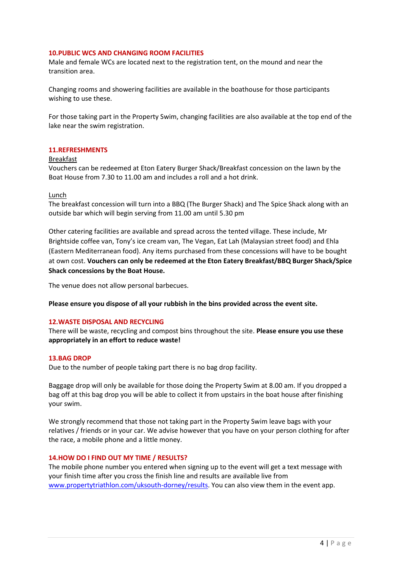### **10.PUBLIC WCS AND CHANGING ROOM FACILITIES**

Male and female WCs are located next to the registration tent, on the mound and near the transition area.

Changing rooms and showering facilities are available in the boathouse for those participants wishing to use these.

For those taking part in the Property Swim, changing facilities are also available at the top end of the lake near the swim registration.

#### **11.REFRESHMENTS**

#### Breakfast

Vouchers can be redeemed at Eton Eatery Burger Shack/Breakfast concession on the lawn by the Boat House from 7.30 to 11.00 am and includes a roll and a hot drink.

#### Lunch

The breakfast concession will turn into a BBQ (The Burger Shack) and The Spice Shack along with an outside bar which will begin serving from 11.00 am until 5.30 pm

Other catering facilities are available and spread across the tented village. These include, Mr Brightside coffee van, Tony's ice cream van, The Vegan, Eat Lah (Malaysian street food) and Ehla (Eastern Mediterranean food). Any items purchased from these concessions will have to be bought at own cost. **Vouchers can only be redeemed at the Eton Eatery Breakfast/BBQ Burger Shack/Spice Shack concessions by the Boat House.**

The venue does not allow personal barbecues.

**Please ensure you dispose of all your rubbish in the bins provided across the event site.**

#### **12.WASTE DISPOSAL AND RECYCLING**

There will be waste, recycling and compost bins throughout the site. **Please ensure you use these appropriately in an effort to reduce waste!**

## **13.BAG DROP**

Due to the number of people taking part there is no bag drop facility.

Baggage drop will only be available for those doing the Property Swim at 8.00 am. If you dropped a bag off at this bag drop you will be able to collect it from upstairs in the boat house after finishing your swim.

We strongly recommend that those not taking part in the Property Swim leave bags with your relatives / friends or in your car. We advise however that you have on your person clothing for after the race, a mobile phone and a little money.

#### **14.HOW DO I FIND OUT MY TIME / RESULTS?**

The mobile phone number you entered when signing up to the event will get a text message with your finish time after you cross the finish line and results are available live from [www.propertytriathlon.com/uksouth-dorney/results.](http://www.propertytriathlon.com/uksouth-dorney/results) You can also view them in the event app.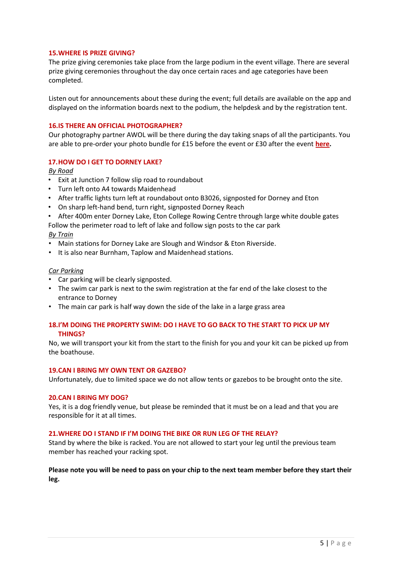### **15.WHERE IS PRIZE GIVING?**

The prize giving ceremonies take place from the large podium in the event village. There are several prize giving ceremonies throughout the day once certain races and age categories have been completed.

Listen out for announcements about these during the event; full details are available on the app and displayed on the information boards next to the podium, the helpdesk and by the registration tent.

#### **16.IS THERE AN OFFICIAL PHOTOGRAPHER?**

Our photography partner AWOL will be there during the day taking snaps of all the participants. You are able to pre-order your photo bundle for £15 before the event or £30 after the event **[here.](https://live.awol.io/event/12844/home)**

# **17.HOW DO I GET TO DORNEY LAKE?**

*By Road*

- Exit at Junction 7 follow slip road to roundabout
- Turn left onto A4 towards Maidenhead
- After traffic lights turn left at roundabout onto B3026, signposted for Dorney and Eton
- On sharp left-hand bend, turn right, signposted Dorney Reach
- After 400m enter Dorney Lake, Eton College Rowing Centre through large white double gates

Follow the perimeter road to left of lake and follow sign posts to the car park *By Train*

- Main stations for Dorney Lake are Slough and Windsor & Eton Riverside.
- It is also near Burnham, Taplow and Maidenhead stations.

#### *Car Parking*

- Car parking will be clearly signposted.
- The swim car park is next to the swim registration at the far end of the lake closest to the entrance to Dorney
- The main car park is half way down the side of the lake in a large grass area

# **18.I'M DOING THE PROPERTY SWIM: DO I HAVE TO GO BACK TO THE START TO PICK UP MY THINGS?**

No, we will transport your kit from the start to the finish for you and your kit can be picked up from the boathouse.

#### **19.CAN I BRING MY OWN TENT OR GAZEBO?**

Unfortunately, due to limited space we do not allow tents or gazebos to be brought onto the site.

#### **20.CAN I BRING MY DOG?**

Yes, it is a dog friendly venue, but please be reminded that it must be on a lead and that you are responsible for it at all times.

#### **21.WHERE DO I STAND IF I'M DOING THE BIKE OR RUN LEG OF THE RELAY?**

Stand by where the bike is racked. You are not allowed to start your leg until the previous team member has reached your racking spot.

# **Please note you will be need to pass on your chip to the next team member before they start their leg.**